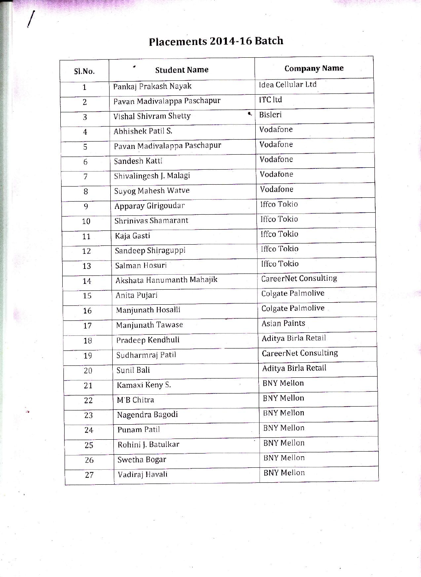## Sl.No. ' Student Name Company Name

| Placements 2014-16 Batch |  |  |
|--------------------------|--|--|
|--------------------------|--|--|

| Sl.No.         | <b>Student Name</b>         |                   | Company Name                |  |
|----------------|-----------------------------|-------------------|-----------------------------|--|
| $\mathbf{1}$   | Pankaj Prakash Nayak        |                   | Idea Cellular Ltd           |  |
| $\overline{c}$ | Pavan Madivalappa Paschapur |                   | <b>ITC</b> ltd              |  |
| 3              | Vishal Shivram Shetty       | ۹.                | Bisleri                     |  |
| $\overline{4}$ | Abhishek Patil S.           | Vodafone          |                             |  |
| 5              | Pavan Madivalappa Paschapur |                   | Vodafone                    |  |
| 6              | Sandesh Katti               |                   | Vodafone                    |  |
| 7              | Shivalingesh J. Malagi      |                   | Vodafone                    |  |
| 8              | Suyog Mahesh Watve          |                   | Vodafone                    |  |
| 9              | Apparay Girigoudar          |                   | <b>Iffco Tokio</b>          |  |
| 10             | Shriniyas Shamarant         |                   | Iffco Tokio                 |  |
| 11             | Kaja Gasti                  |                   | <b>Iffco Tokio</b>          |  |
| 12             | Sandeep Shiraguppi          |                   | Iffco Tokio                 |  |
| 13             | Salman Hosuri               |                   | <b>Iffco Tokio</b>          |  |
| 14             | Akshata Hanumanth Mahajik   |                   | <b>CareerNet Consulting</b> |  |
| 15             | Anita Pujari                |                   | Colgate Palmolive           |  |
| 16             | Manjunath Hosalli           |                   | Colgate Palmolive           |  |
| 17             | Manjunath Tawase            |                   | Asian Paints                |  |
| 18             | Pradeep Kendhuli            |                   | Aditya Birla Retail         |  |
| 19             | Sudharmraj Patil            |                   | <b>CareerNet Consulting</b> |  |
| 20             | Sunil Bali                  |                   | Aditya Birla Retail         |  |
| 21             | Kamaxi Keny S.              |                   | <b>BNY Mellon</b>           |  |
| 22             | M'B Chitra                  |                   | <b>BNY Mellon</b>           |  |
| 23             | Nagendra Bagodi             |                   | <b>BNY Mellon</b>           |  |
| 24             | Punam Patil                 |                   | <b>BNY Mellon</b>           |  |
| 25             | Rohini J. Batulkar          |                   | <b>BNY Mellon</b>           |  |
| 26             | Swetha Bogar                |                   | <b>BNY Mellon</b>           |  |
| 27             | Vadiraj Havali              | <b>BNY Mellon</b> |                             |  |